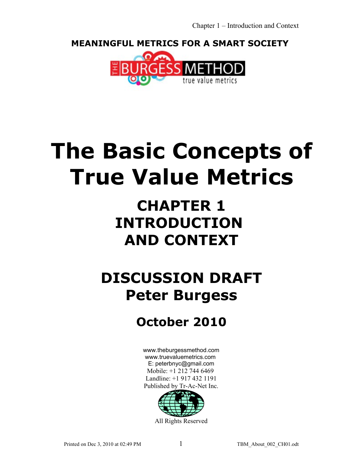**MEANINGFUL METRICS FOR A SMART SOCIETY** 



# **The Basic Concepts of True Value Metrics**

## **CHAPTER 1 INTRODUCTION AND CONTEXT**

## **DISCUSSION DRAFT Peter Burgess**

### **October 2010**

[www.theburgessmethod.com](http://www.theburgessmethod.com/) [www.truevaluemetrics.com](http://www.tr-ac-net.org/) E: peterbnyc@gmail.com Mobile: +1 212 744 6469 Landline: +1 917 432 1191 Published by Tr-Ac-Net Inc.



All Rights Reserved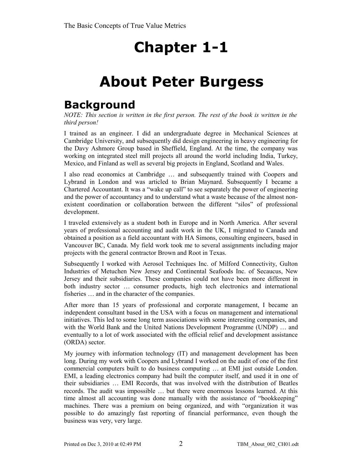### **About Peter Burgess**

### **Background**

*NOTE: This section is written in the first person. The rest of the book is written in the third person!*

I trained as an engineer. I did an undergraduate degree in Mechanical Sciences at Cambridge University, and subsequently did design engineering in heavy engineering for the Davy Ashmore Group based in Sheffield, England. At the time, the company was working on integrated steel mill projects all around the world including India, Turkey, Mexico, and Finland as well as several big projects in England, Scotland and Wales.

I also read economics at Cambridge … and subsequently trained with Coopers and Lybrand in London and was articled to Brian Maynard. Subsequently I became a Chartered Accountant. It was a "wake up call" to see separately the power of engineering and the power of accountancy and to understand what a waste because of the almost nonexistent coordination or collaboration between the different "silos" of professional development.

I traveled extensively as a student both in Europe and in North America. After several years of professional accounting and audit work in the UK, I migrated to Canada and obtained a position as a field accountant with HA Simons, consulting engineers, based in Vancouver BC, Canada. My field work took me to several assignments including major projects with the general contractor Brown and Root in Texas.

Subsequently I worked with Aerosol Techniques Inc. of Milford Connectivity, Gulton Industries of Metuchen New Jersey and Continental Seafoods Inc. of Secaucus, New Jersey and their subsidiaries. These companies could not have been more different in both industry sector … consumer products, high tech electronics and international fisheries … and in the character of the companies.

After more than 15 years of professional and corporate management, I became an independent consultant based in the USA with a focus on management and international initiatives. This led to some long term associations with some interesting companies, and with the World Bank and the United Nations Development Programme (UNDP) … and eventually to a lot of work associated with the official relief and development assistance (ORDA) sector.

My journey with information technology (IT) and management development has been long. During my work with Coopers and Lybrand I worked on the audit of one of the first commercial computers built to do business computing … at EMI just outside London. EMI, a leading electronics company had built the computer itself, and used it in one of their subsidiaries … EMI Records, that was involved with the distribution of Beatles records. The audit was impossible … but there were enormous lessons learned. At this time almost all accounting was done manually with the assistance of "bookkeeping" machines. There was a premium on being organized, and with "organization it was possible to do amazingly fast reporting of financial performance, even though the business was very, very large.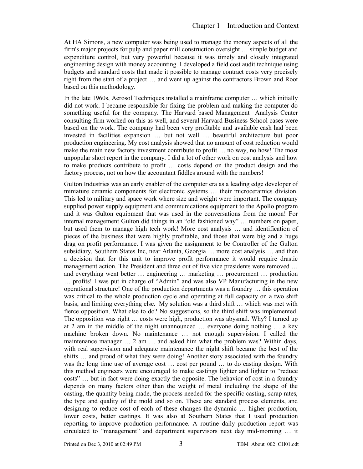At HA Simons, a new computer was being used to manage the money aspects of all the firm's major projects for pulp and paper mill construction oversight … simple budget and expenditure control, but very powerful because it was timely and closely integrated engineering design with money accounting. I developed a field cost audit technique using budgets and standard costs that made it possible to manage contract costs very precisely right from the start of a project … and went up against the contractors Brown and Root based on this methodology.

In the late 1960s, Aerosol Techniques installed a mainframe computer … which initially did not work. I became responsible for fixing the problem and making the computer do something useful for the company. The Harvard based Management Analysis Center consulting firm worked on this as well, and several Harvard Business School cases were based on the work. The company had been very profitable and available cash had been invested in facilities expansion … but not well … beautiful architecture but poor production engineering. My cost analysis showed that no amount of cost reduction would make the main new factory investment contribute to profit … no way, no how! The most unpopular short report in the company. I did a lot of other work on cost analysis and how to make products contribute to profit … costs depend on the product design and the factory process, not on how the accountant fiddles around with the numbers!

Gulton Industries was an early enabler of the computer era as a leading edge developer of miniature ceramic components for electronic systems … their microceramics division. This led to military and space work where size and weight were important. The company supplied power supply equipment and communications equipment to the Apollo program and it was Gulton equipment that was used in the conversations from the moon! For internal management Gulton did things in an "old fashioned way" … numbers on paper, but used them to manage high tech work! More cost analysis … and identification of pieces of the business that were highly profitable, and those that were big and a huge drag on profit performance. I was given the assignment to be Controller of the Gulton subsidiary, Southern States Inc, near Atlanta, Georgia … more cost analysis … and then a decision that for this unit to improve profit performance it would require drastic management action. The President and three out of five vice presidents were removed … and everything went better … engineering … marketing … procurement … production … profits! I was put in charge of "Admin" and was also VP Manufacturing in the new operational structure! One of the production departments was a foundry … this operation was critical to the whole production cycle and operating at full capacity on a two shift basis, and limiting everything else. My solution was a third shift … which was met with fierce opposition. What else to do? No suggestions, so the third shift was implemented. The opposition was right … costs were high, production was abysmal. Why? I turned up at 2 am in the middle of the night unannounced … everyone doing nothing … a key machine broken down. No maintenance … not enough supervision. I called the maintenance manager ... 2 am ... and asked him what the problem was? Within days, with real supervision and adequate maintenance the night shift became the best of the shifts … and proud of what they were doing! Another story associated with the foundry was the long time use of average cost … cost per pound … to do casting design. With this method engineers were encouraged to make castings lighter and lighter to "reduce costs" … but in fact were doing exactly the opposite. The behavior of cost in a foundry depends on many factors other than the weight of metal including the shape of the casting, the quantity being made, the process needed for the specific casting, scrap rates, the type and quality of the mold and so on. These are standard process elements, and designing to reduce cost of each of these changes the dynamic … higher production, lower costs, better castings. It was also at Southern States that I used production reporting to improve production performance. A routine daily production report was circulated to "management" and department supervisors next day mid-morning … it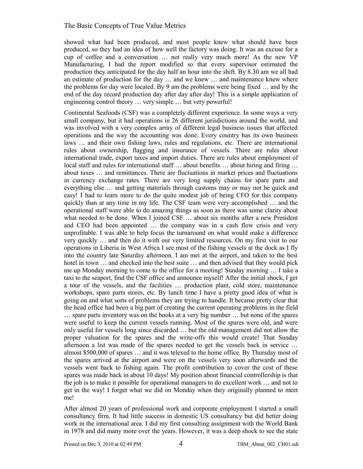showed what had been produced, and most people knew what should have been produced, so they had an idea of how well the factory was doing. It was an excuse for a cup of coffee and a conversation … not really very much more! As the new VP Manufacturing, I had the report modified so that every supervisor estimated the production they anticipated for the day half an hour into the shift. By 8.30 am we all had an estimate of production for the day … and we knew … and maintenance knew where the problems for day were located. By 9 am the problems were being fixed … and by the end of the day record production day after day after day! This is a simple application of engineering control theory … very simple … but very powerful!

Continental Seafoods (CSF) was a completely different experience. In some ways a very small company, but it had operations in 26 different jurisdictions around the world, and was involved with a very complex array of different legal business issues that affected operations and the way the accounting was done. Every country has its own business laws … and their own fishing laws, rules and regulations, etc. There are international rules about ownership, flagging and insurance of vessels. There are rules about international trade, export taxes and import duties. There are rules about employment of local staff and rules for international staff ... about benefits ... about hiring and firing ... about taxes … and remittances. There are fluctuations in market prices and fluctuations in currency exchange rates. There are very long supply chains for spare parts and everything else … and getting materials through customs may or may not be quick and easy! I had to learn more to do the quite modest job of being CFO for this company quickly than at any time in my life. The CSF team were very accomplished … and the operational staff were able to do amazing things as soon as there was some clarity about what needed to be done. When I joined CSF ... about six months after a new President and CEO had been appointed … the company was in a cash flow crisis and very unprofitable. I was able to help focus the turnaround on what would make a difference very quickly … and then do it with our very limited resources. On my first visit to our operations in Liberia in West Africa I see most of the fishing vessels at the dock as I fly into the country late Saturday afternoon. I am met at the airport, and taken to the best hotel in town ... and checked into the best suite ... and then advised that they would pick me up Monday morning to come to the office for a meeting! Sunday morning … I take a taxi to the seaport, find the CSF office and announce myself! After the initial shock, I get a tour of the vessels, and the facilities … production plant, cold store, maintenance workshops, spare parts stores, etc. By lunch time I have a pretty good idea of what is going on and what sorts of problems they are trying to handle. It became pretty clear that the head office had been a big part of creating the current operating problems in the field … spare parts inventory was on the books at a very big number … but none of the spares were useful to keep the current vessels running. Most of the spares were old, and were only useful for vessels long since discarded … but the old management did not allow the proper valuation for the spares and the write-offs this would create! That Sunday afternoon a list was made of the spares needed to get the vessels back in service … almost \$500,000 of spares … and it was telexed to the home office. By Thursday most of the spares arrived at the airport and were on the vessels very soon afterwards and the vessels went back to fishing again. The profit contribution to cover the cost of these spares was made back in about 10 days! My position about financial controllership is that the job is to make it possible for operational managers to do excellent work … and not to get in the way! I forget what we did on Monday when they originally planned to meet me!

After almost 20 years of professional work and corporate employment I started a small consultancy firm. It had little success in domestic US consultancy but did better doing work in the international area. I did my first consulting assignment with the World Bank in 1978 and did many more over the years. However, it was a deep shock to see the state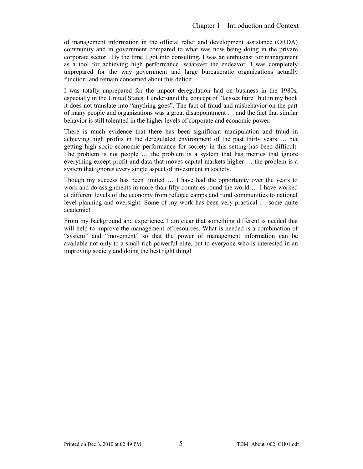of management information in the official relief and development assistance (ORDA) community and in government compared to what was now being doing in the privare corporate sector. By the time I got into consulting, I was an enthusiast for management as a tool for achieving high performance, whatever the endeavor. I was completely unprepared for the way government and large bureaucratic organizations actually function, and remain concerned about this deficit.

I was totally unprepared for the impact deregulation had on business in the 1980s, especially in the United States. I understand the concept of "laissez faire" but in my book it does not translate into "anything goes". The fact of fraud and misbehavior on the part of many people and organizations was a great disappointment … and the fact that similar behavior is still tolerated in the higher levels of corporate and economic power.

There is much evidence that there has been significant manipulation and fraud in achieving high profits in the deregulated environment of the past thirty years … but getting high socio-economic performance for society in this setting has been difficult. The problem is not people … the problem is a system that has metrics that ignore everything except profit and data that moves capital markets higher … the problem is a system that ignores every single aspect of investment in society.

Though my success has been limited … I have had the opportunity over the years to work and do assignments in more than fifty countries round the world … I have worked at different levels of the economy from refugee camps and rural communities to national level planning and oversight. Some of my work has been very practical … some quite academic!

From my background and experience, I am clear that something different is needed that will help to improve the management of resources. What is needed is a combination of "system" and "movement" so that the power of management information can be available not only to a small rich powerful elite, but to everyone who is interested in an improving society and doing the best right thing!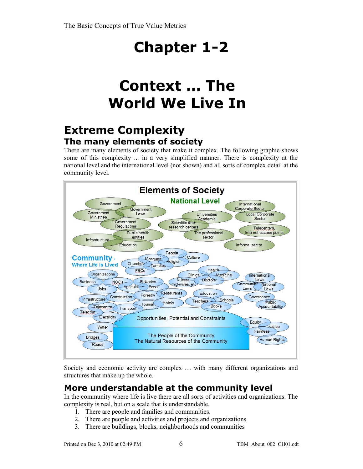## **Context … The World We Live In**

### **Extreme Complexity The many elements of society**

There are many elements of society that make it complex. The following graphic shows some of this complexity ... in a very simplified manner. There is complexity at the national level and the international level (not shown) and all sorts of complex detail at the community level.



Society and economic activity are complex … with many different organizations and structures that make up the whole.

### **More understandable at the community level**

In the community where life is live there are all sorts of activities and organizations. The complexity is real, but on a scale that is understandable.

- 1. There are people and families and communities.
- 2. There are people and activities and projects and organizations
- 3. There are buildings, blocks, neighborhoods and communities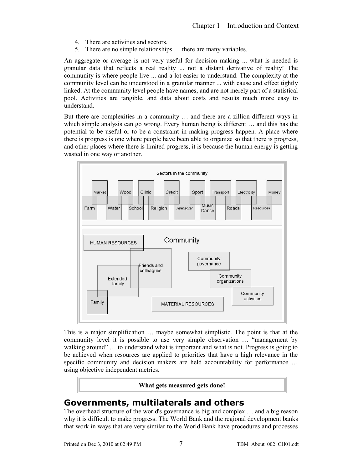- 4. There are activities and sectors.
- 5. There are no simple relationships … there are many variables.

An aggregate or average is not very useful for decision making ... what is needed is granular data that reflects a real reality ... not a distant derivative of reality! The community is where people live ... and a lot easier to understand. The complexity at the community level can be understood in a granular manner ... with cause and effect tightly linked. At the community level people have names, and are not merely part of a statistical pool. Activities are tangible, and data about costs and results much more easy to understand.

But there are complexities in a community … and there are a zillion different ways in which simple analysis can go wrong. Every human being is different … and this has the potential to be useful or to be a constraint in making progress happen. A place where there is progress is one where people have been able to organize so that there is progress, and other places where there is limited progress, it is because the human energy is getting wasted in one way or another.



This is a major simplification … maybe somewhat simplistic. The point is that at the community level it is possible to use very simple observation … "management by walking around" ... to understand what is important and what is not. Progress is going to be achieved when resources are applied to priorities that have a high relevance in the specific community and decision makers are held accountability for performance ... using objective independent metrics.

#### **What gets measured gets done!**

#### **Governments, multilaterals and others**

The overhead structure of the world's governance is big and complex … and a big reason why it is difficult to make progress. The World Bank and the regional development banks that work in ways that are very similar to the World Bank have procedures and processes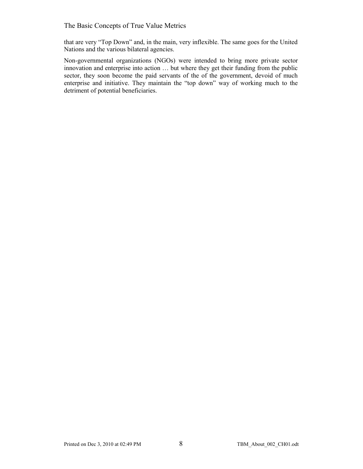that are very "Top Down" and, in the main, very inflexible. The same goes for the United Nations and the various bilateral agencies.

Non-governmental organizations (NGOs) were intended to bring more private sector innovation and enterprise into action … but where they get their funding from the public sector, they soon become the paid servants of the of the government, devoid of much enterprise and initiative. They maintain the "top down" way of working much to the detriment of potential beneficiaries.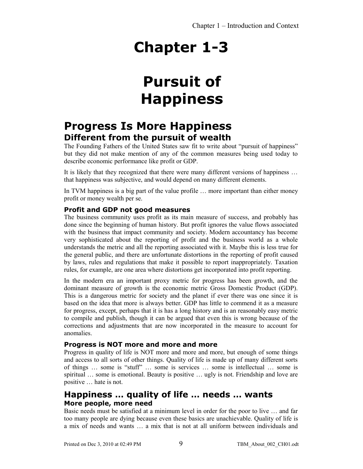## **Pursuit of Happiness**

### **Progress Is More Happiness Different from the pursuit of wealth**

The Founding Fathers of the United States saw fit to write about "pursuit of happiness" but they did not make mention of any of the common measures being used today to describe economic performance like profit or GDP.

It is likely that they recognized that there were many different versions of happiness ... that happiness was subjective, and would depend on many different elements.

In TVM happiness is a big part of the value profile … more important than either money profit or money wealth per se.

#### **Profit and GDP not good measures**

The business community uses profit as its main measure of success, and probably has done since the beginning of human history. But profit ignores the value flows associated with the business that impact community and society. Modern accountancy has become very sophisticated about the reporting of profit and the business world as a whole understands the metric and all the reporting associated with it. Maybe this is less true for the general public, and there are unfortunate distortions in the reporting of profit caused by laws, rules and regulations that make it possible to report inappropriately. Taxation rules, for example, are one area where distortions get incorporated into profit reporting.

In the modern era an important proxy metric for progress has been growth, and the dominant measure of growth is the economic metric Gross Domestic Product (GDP). This is a dangerous metric for society and the planet if ever there was one since it is based on the idea that more is always better. GDP has little to commend it as a measure for progress, except, perhaps that it is has a long history and is an reasonably easy metric to compile and publish, though it can be argued that even this is wrong because of the corrections and adjustments that are now incorporated in the measure to account for anomalies.

#### **Progress is NOT more and more and more**

Progress in quality of life is NOT more and more and more, but enough of some things and access to all sorts of other things. Quality of life is made up of many different sorts of things … some is "stuff" … some is services … some is intellectual … some is spiritual … some is emotional. Beauty is positive … ugly is not. Friendship and love are positive … hate is not.

#### **Happiness … quality of life … needs … wants More people, more need**

Basic needs must be satisfied at a minimum level in order for the poor to live … and far too many people are dying because even these basics are unachievable. Quality of life is a mix of needs and wants … a mix that is not at all uniform between individuals and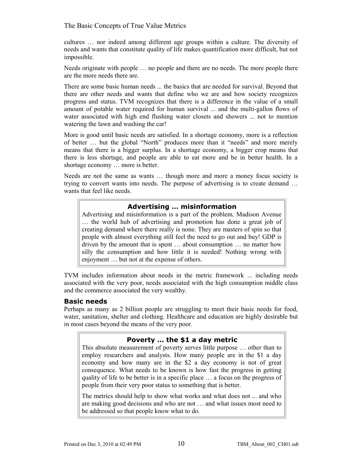cultures … nor indeed among different age groups within a culture. The diversity of needs and wants that constitute quality of life makes quantification more difficult, but not impossible.

Needs originate with people … no people and there are no needs. The more people there are the more needs there are.

There are some basic human needs ... the basics that are needed for survival. Beyond that there are other needs and wants that define who we are and how society recognizes progress and status. TVM recognizes that there is a difference in the value of a small amount of potable water required for human survival ... and the multi-gallon flows of water associated with high end flushing water closets and showers ... not to mention watering the lawn and washing the car!

More is good until basic needs are satisfied. In a shortage economy, more is a reflection of better … but the global "North" produces more than it "needs" and more merely means that there is a bigger surplus. In a shortage economy, a bigger crop means that there is less shortage, and people are able to eat more and be in better health. In a shortage economy … more is better.

Needs are not the same as wants … though more and more a money focus society is trying to convert wants into needs. The purpose of advertising is to create demand … wants that feel like needs.

#### **Advertising … misinformation**

Advertising and misinformation is a part of the problem. Madison Avenue … the world hub of advertising and promotion has done a great job of creating demand where there really is none. They are masters of spin so that people with almost everything still feel the need to go out and buy! GDP is driven by the amount that is spent … about consumption … no matter how silly the consumption and how little it is needed! Nothing wrong with enjoyment … but not at the expense of others.

TVM includes information about needs in the metric framework ... including needs associated with the very poor, needs associated with the high consumption middle class and the commerce associated the very wealthy.

#### **Basic needs**

Perhaps as many as 2 billion people are struggling to meet their basic needs for food, water, sanitation, shelter and clothing. Healthcare and education are highly desirable but in most cases beyond the means of the very poor.

#### **Poverty … the \$1 a day metric**

This absolute measurement of poverty serves little purpose … other than to employ researchers and analysts. How many people are in the \$1 a day economy and how many are in the \$2 a day economy is not of great consequence. What needs to be known is how fast the progress in getting quality of life to be better is in a specific place … a focus on the progress of people from their very poor status to something that is better.

The metrics should help to show what works and what does not ... and who are making good decisions and who are not … and what issues most need to be addressed so that people know what to do.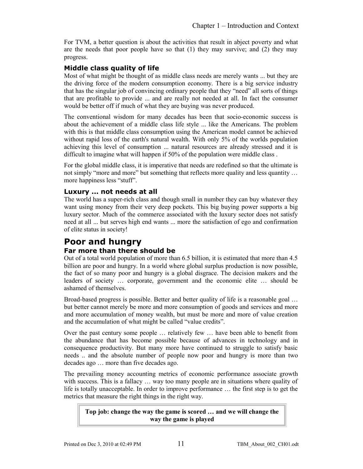For TVM, a better question is about the activities that result in abject poverty and what are the needs that poor people have so that  $(1)$  they may survive; and  $(2)$  they may progress.

#### **Middle class quality of life**

Most of what might be thought of as middle class needs are merely wants ... but they are the driving force of the modern consumption economy. There is a big service industry that has the singular job of convincing ordinary people that they "need" all sorts of things that are profitable to provide ... and are really not needed at all. In fact the consumer would be better off if much of what they are buying was never produced.

The conventional wisdom for many decades has been that socio-economic success is about the achievement of a middle class life style ... like the Americans. The problem with this is that middle class consumption using the American model cannot be achieved without rapid loss of the earth's natural wealth. With only 5% of the worlds population achieving this level of consumption ... natural resources are already stressed and it is difficult to imagine what will happen if 50% of the population were middle class .

For the global middle class, it is imperative that needs are redefined so that the ultimate is not simply "more and more" but something that reflects more quality and less quantity … more happiness less "stuff".

#### **Luxury ... not needs at all**

The world has a super-rich class and though small in number they can buy whatever they want using money from their very deep pockets. This big buying power supports a big luxury sector. Much of the commerce associated with the luxury sector does not satisfy need at all ... but serves high end wants ... more the satisfaction of ego and confirmation of elite status in society!

### **Poor and hungry**

#### **Far more than there should be**

Out of a total world population of more than 6.5 billion, it is estimated that more than 4.5 billion are poor and hungry. In a world where global surplus production is now possible, the fact of so many poor and hungry is a global disgrace. The decision makers and the leaders of society … corporate, government and the economic elite … should be ashamed of themselves.

Broad-based progress is possible. Better and better quality of life is a reasonable goal ... but better cannot merely be more and more consumption of goods and services and more and more accumulation of money wealth, but must be more and more of value creation and the accumulation of what might be called "value credits".

Over the past century some people … relatively few … have been able to benefit from the abundance that has become possible because of advances in technology and in consequence productivity. But many more have continued to struggle to satisfy basic needs .. and the absolute number of people now poor and hungry is more than two decades ago … more than five decades ago.

The prevailing money accounting metrics of economic performance associate growth with success. This is a fallacy ... way too many people are in situations where quality of life is totally unacceptable. In order to improve performance … the first step is to get the metrics that measure the right things in the right way.

**Top job: change the way the game is scored … and we will change the way the game is played**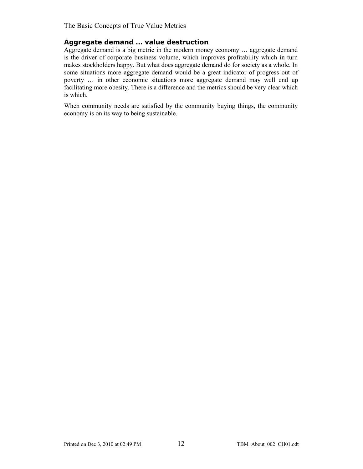#### **Aggregate demand … value destruction**

Aggregate demand is a big metric in the modern money economy … aggregate demand is the driver of corporate business volume, which improves profitability which in turn makes stockholders happy. But what does aggregate demand do for society as a whole. In some situations more aggregate demand would be a great indicator of progress out of poverty … in other economic situations more aggregate demand may well end up facilitating more obesity. There is a difference and the metrics should be very clear which is which.

When community needs are satisfied by the community buying things, the community economy is on its way to being sustainable.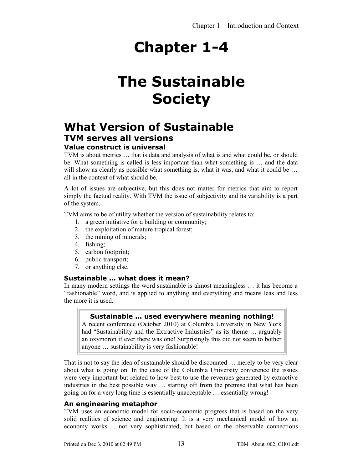## **The Sustainable Society**

### **What Version of Sustainable TVM serves all versions**

#### **Value construct is universal**

TVM is about metrics … that is data and analysis of what is and what could be, or should be. What something is called is less important than what something is … and the data will show as clearly as possible what something is, what it was, and what it could be ... all in the context of what should be.

A lot of issues are subjective, but this does not matter for metrics that aim to report simply the factual reality. With TVM the issue of subjectivity and its variability is a part of the system.

TVM aims to be of utility whether the version of sustainability relates to:

- 1. a green initiative for a building or community;
- 2. the exploitation of mature tropical forest;
- 3. the mining of minerals;
- 4. fishing;
- 5. carbon footprint;
- 6. public transport;
- 7. or anything else.

#### **Sustainable … what does it mean?**

In many modern settings the word sustainable is almost meaningless … it has become a "fashionable" word, and is applied to anything and everything and means leas and less the more it is used.

#### **Sustainable … used everywhere meaning nothing!**

A recent conference (October 2010) at Columbia University in New York had "Sustainability and the Extractive Industries" as its theme ... arguably an oxymoron if ever there was one! Surprisingly this did not seem to bother anyone … sustainability is very fashionable!

That is not to say the idea of sustainable should be discounted … merely to be very clear about what is going on. In the case of the Columbia University conference the issues were very important but related to how best to use the revenues generated by extractive industries in the best possible way … starting off from the premise that what has been going on for a very long time is essentially unacceptable … essentially wrong!

#### **An engineering metaphor**

TVM uses an economic model for socio-economic progress that is based on the very solid realities of science and engineering. It is a very mechanical model of how an economy works ... not very sophisticated, but based on the observable connections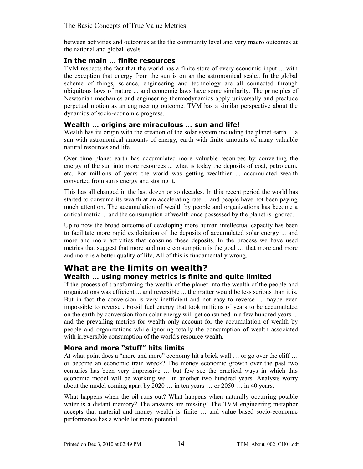between activities and outcomes at the the community level and very macro outcomes at the national and global levels.

#### **In the main ... finite resources**

TVM respects the fact that the world has a finite store of every economic input ... with the exception that energy from the sun is on an the astronomical scale.. In the global scheme of things, science, engineering and technology are all connected through ubiquitous laws of nature ... and economic laws have some similarity. The principles of Newtonian mechanics and engineering thermodynamics apply universally and preclude perpetual motion as an engineering outcome. TVM has a similar perspective about the dynamics of socio-economic progress.

#### **Wealth … origins are miraculous … sun and life!**

Wealth has its origin with the creation of the solar system including the planet earth ... a sun with astronomical amounts of energy, earth with finite amounts of many valuable natural resources and life.

Over time planet earth has accumulated more valuable resources by converting the energy of the sun into more resources ... what is today the deposits of coal, petroleum, etc. For millions of years the world was getting wealthier ... accumulated wealth converted from sun's energy and storing it.

This has all changed in the last dozen or so decades. In this recent period the world has started to consume its wealth at an accelerating rate ... and people have not been paying much attention. The accumulation of wealth by people and organizations has become a critical metric ... and the consumption of wealth once possessed by the planet is ignored.

Up to now the broad outcome of developing more human intellectual capacity has been to facilitate more rapid exploitation of the deposits of accumulated solar energy ... and more and more activities that consume these deposits. In the process we have used metrics that suggest that more and more consumption is the goal … that more and more and more is a better quality of life, All of this is fundamentally wrong.

### **What are the limits on wealth?**

#### **Wealth … using money metrics is finite and quite limited**

If the process of transforming the wealth of the planet into the wealth of the people and organizations was efficient ... and reversible ... the matter would be less serious than it is. But in fact the conversion is very inefficient and not easy to reverse ... maybe even impossible to reverse . Fossil fuel energy that took millions of years to be accumulated on the earth by conversion from solar energy will get consumed in a few hundred years ... and the prevailing metrics for wealth only account for the accumulation of wealth by people and organizations while ignoring totally the consumption of wealth associated with irreversible consumption of the world's resource wealth.

#### **More and more "stuff" hits limits**

At what point does a "more and more" economy hit a brick wall ... or go over the cliff ... or become an economic train wreck? The money economic growth over the past two centuries has been very impressive … but few see the practical ways in which this economic model will be working well in another two hundred years. Analysts worry about the model coming apart by 2020 … in ten years … or 2050 … in 40 years.

What happens when the oil runs out? What happens when naturally occurring potable water is a distant memory? The answers are missing! The TVM engineering metaphor accepts that material and money wealth is finite … and value based socio-economic performance has a whole lot more potential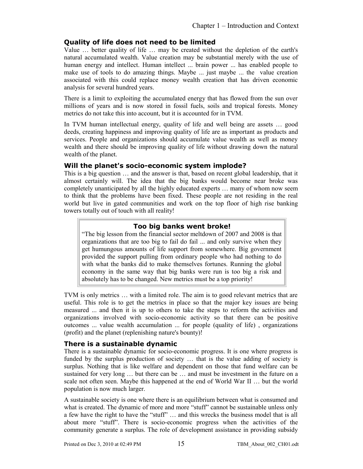#### **Quality of life does not need to be limited**

Value … better quality of life … may be created without the depletion of the earth's natural accumulated wealth. Value creation may be substantial merely with the use of human energy and intellect. Human intellect ... brain power ... has enabled people to make use of tools to do amazing things. Maybe ... just maybe ... the value creation associated with this could replace money wealth creation that has driven economic analysis for several hundred years.

There is a limit to exploiting the accumulated energy that has flowed from the sun over millions of years and is now stored in fossil fuels, soils and tropical forests. Money metrics do not take this into account, but it is accounted for in TVM.

In TVM human intellectual energy, quality of life and well being are assets … good deeds, creating happiness and improving quality of life are as important as products and services. People and organizations should accumulate value wealth as well as money wealth and there should be improving quality of life without drawing down the natural wealth of the planet.

#### **Will the planet's socio-economic system implode?**

This is a big question … and the answer is that, based on recent global leadership, that it almost certainly will. The idea that the big banks would become near broke was completely unanticipated by all the highly educated experts … many of whom now seem to think that the problems have been fixed. These people are not residing in the real world but live in gated communities and work on the top floor of high rise banking towers totally out of touch with all reality!

#### **Too big banks went broke!**

"The big lesson from the financial sector meltdown of 2007 and 2008 is that organizations that are too big to fail do fail ... and only survive when they get humungous amounts of life support from somewhere. Big government provided the support pulling from ordinary people who had nothing to do with what the banks did to make themselves fortunes. Running the global economy in the same way that big banks were run is too big a risk and absolutely has to be changed. New metrics must be a top priority!

TVM is only metrics … with a limited role. The aim is to good relevant metrics that are useful. This role is to get the metrics in place so that the major key issues are being measured ... and then it is up to others to take the steps to reform the activities and organizations involved with socio-economic activity so that there can be positive outcomes ... value wealth accumulation ... for people (quality of life) , organizations (profit) and the planet (replenishing nature's bounty)!

#### **There is a sustainable dynamic**

There is a sustainable dynamic for socio-economic progress. It is one where progress is funded by the surplus production of society … that is the value adding of society is surplus. Nothing that is like welfare and dependent on those that fund welfare can be sustained for very long … but there can be … and must be investment in the future on a scale not often seen. Maybe this happened at the end of World War II … but the world population is now much larger.

A sustainable society is one where there is an equilibrium between what is consumed and what is created. The dynamic of more and more "stuff" cannot be sustainable unless only a few have the right to have the "stuff" … and this wrecks the business model that is all about more "stuff". There is socio-economic progress when the activities of the community generate a surplus. The role of development assistance in providing subsidy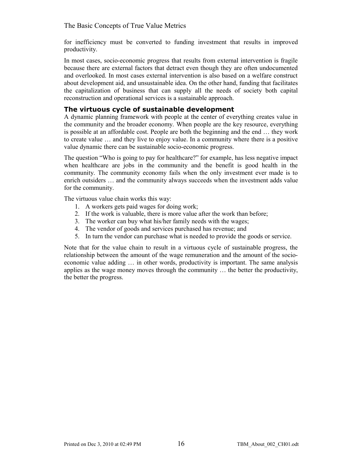for inefficiency must be converted to funding investment that results in improved productivity.

In most cases, socio-economic progress that results from external intervention is fragile because there are external factors that detract even though they are often undocumented and overlooked. In most cases external intervention is also based on a welfare construct about development aid, and unsustainable idea. On the other hand, funding that facilitates the capitalization of business that can supply all the needs of society both capital reconstruction and operational services is a sustainable approach.

#### **The virtuous cycle of sustainable development**

A dynamic planning framework with people at the center of everything creates value in the community and the broader economy. When people are the key resource, everything is possible at an affordable cost. People are both the beginning and the end … they work to create value … and they live to enjoy value. In a community where there is a positive value dynamic there can be sustainable socio-economic progress.

The question "Who is going to pay for healthcare?" for example, has less negative impact when healthcare are jobs in the community and the benefit is good health in the community. The community economy fails when the only investment ever made is to enrich outsiders … and the community always succeeds when the investment adds value for the community.

The virtuous value chain works this way:

- 1. A workers gets paid wages for doing work;
- 2. If the work is valuable, there is more value after the work than before;
- 3. The worker can buy what his/her family needs with the wages;
- 4. The vendor of goods and services purchased has revenue; and
- 5. In turn the vendor can purchase what is needed to provide the goods or service.

Note that for the value chain to result in a virtuous cycle of sustainable progress, the relationship between the amount of the wage remuneration and the amount of the socioeconomic value adding … in other words, productivity is important. The same analysis applies as the wage money moves through the community … the better the productivity, the better the progress.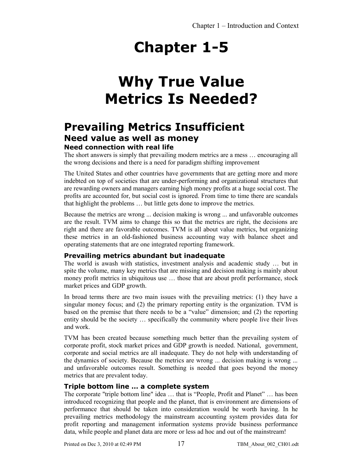## **Why True Value Metrics Is Needed?**

### **Prevailing Metrics Insufficient Need value as well as money**

#### **Need connection with real life**

The short answers is simply that prevailing modern metrics are a mess … encouraging all the wrong decisions and there is a need for paradigm shifting improvement

The United States and other countries have governments that are getting more and more indebted on top of societies that are under-performing and organizational structures that are rewarding owners and managers earning high money profits at a huge social cost. The profits are accounted for, but social cost is ignored. From time to time there are scandals that highlight the problems … but little gets done to improve the metrics.

Because the metrics are wrong ... decision making is wrong ... and unfavorable outcomes are the result. TVM aims to change this so that the metrics are right, the decisions are right and there are favorable outcomes. TVM is all about value metrics, but organizing these metrics in an old-fashioned business accounting way with balance sheet and operating statements that are one integrated reporting framework.

#### **Prevailing metrics abundant but inadequate**

The world is awash with statistics, investment analysis and academic study … but in spite the volume, many key metrics that are missing and decision making is mainly about money profit metrics in ubiquitous use … those that are about profit performance, stock market prices and GDP growth.

In broad terms there are two main issues with the prevailing metrics: (1) they have a singular money focus; and (2) the primary reporting entity is the organization. TVM is based on the premise that there needs to be a "value" dimension; and (2) the reporting entity should be the society … specifically the community where people live their lives and work.

TVM has been created because something much better than the prevailing system of corporate profit, stock market prices and GDP growth is needed. National, government, corporate and social metrics are all inadequate. They do not help with understanding of the dynamics of society. Because the metrics are wrong ... decision making is wrong ... and unfavorable outcomes result. Something is needed that goes beyond the money metrics that are prevalent today.

#### **Triple bottom line … a complete system**

The corporate "triple bottom line" idea … that is "People, Profit and Planet" … has been introduced recognizing that people and the planet, that is environment are dimensions of performance that should be taken into consideration would be worth having. In he prevailing metrics methodology the mainstream accounting system provides data for profit reporting and management information systems provide business performance data, while people and planet data are more or less ad hoc and out of the mainstream!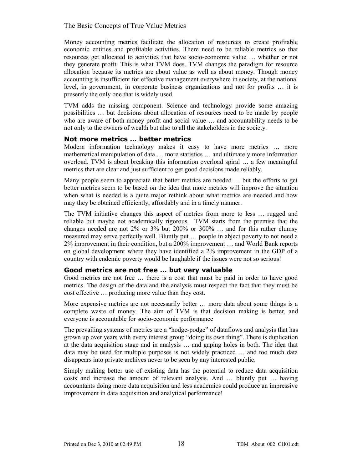Money accounting metrics facilitate the allocation of resources to create profitable economic entities and profitable activities. There need to be reliable metrics so that resources get allocated to activities that have socio-economic value … whether or not they generate profit. This is what TVM does. TVM changes the paradigm for resource allocation because its metrics are about value as well as about money. Though money accounting is insufficient for effective management everywhere in society, at the national level, in government, in corporate business organizations and not for profits … it is presently the only one that is widely used.

TVM adds the missing component. Science and technology provide some amazing possibilities … but decisions about allocation of resources need to be made by people who are aware of both money profit and social value … and accountability needs to be not only to the owners of wealth but also to all the stakeholders in the society.

#### **Not more metrics … better metrics**

Modern information technology makes it easy to have more metrics … more mathematical manipulation of data … more statistics … and ultimately more information overload. TVM is about breaking this information overload spiral … a few meaningful metrics that are clear and just sufficient to get good decisions made reliably.

Many people seem to appreciate that better metrics are needed … but the efforts to get better metrics seem to be based on the idea that more metrics will improve the situation when what is needed is a quite major rethink about what metrics are needed and how may they be obtained efficiently, affordably and in a timely manner.

The TVM initiative changes this aspect of metrics from more to less … rugged and reliable but maybe not academically rigorous. TVM starts from the premise that the changes needed are not 2% or 3% but 200% or 300%  $\ldots$  and for this rather clumsy measured may serve perfectly well. Bluntly put … people in abject poverty to not need a 2% improvement in their condition, but a 200% improvement … and World Bank reports on global development where they have identified a 2% improvement in the GDP of a country with endemic poverty would be laughable if the issues were not so serious!

#### **Good metrics are not free … but very valuable**

Good metrics are not free … there is a cost that must be paid in order to have good metrics. The design of the data and the analysis must respect the fact that they must be cost effective … producing more value than they cost.

More expensive metrics are not necessarily better … more data about some things is a complete waste of money. The aim of TVM is that decision making is better, and everyone is accountable for socio-economic performance

The prevailing systems of metrics are a "hodge-podge" of dataflows and analysis that has grown up over years with every interest group "doing its own thing". There is duplication at the data acquisition stage and in analysis … and gaping holes in both. The idea that data may be used for multiple purposes is not widely practiced … and too much data disappears into private archives never to be seen by any interested public.

Simply making better use of existing data has the potential to reduce data acquisition costs and increase the amount of relevant analysis. And … bluntly put … having accountants doing more data acquisition and less academics could produce an impressive improvement in data acquisition and analytical performance!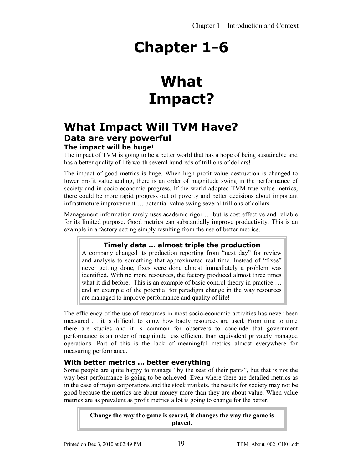## **What Impact?**

### **What Impact Will TVM Have? Data are very powerful**

#### **The impact will be huge!**

The impact of TVM is going to be a better world that has a hope of being sustainable and has a better quality of life worth several hundreds of trillions of dollars!

The impact of good metrics is huge. When high profit value destruction is changed to lower profit value adding, there is an order of magnitude swing in the performance of society and in socio-economic progress. If the world adopted TVM true value metrics, there could be more rapid progress out of poverty and better decisions about important infrastructure improvement … potential value swing several trillions of dollars.

Management information rarely uses academic rigor … but is cost effective and reliable for its limited purpose. Good metrics can substantially improve productivity. This is an example in a factory setting simply resulting from the use of better metrics.

#### **Timely data ... almost triple the production**

A company changed its production reporting from "next day" for review and analysis to something that approximated real time. Instead of "fixes" never getting done, fixes were done almost immediately a problem was identified. With no more resources, the factory produced almost three times what it did before. This is an example of basic control theory in practice ... and an example of the potential for paradigm change in the way resources are managed to improve performance and quality of life!

The efficiency of the use of resources in most socio-economic activities has never been measured … it is difficult to know how badly resources are used. From time to time there are studies and it is common for observers to conclude that government performance is an order of magnitude less efficient than equivalent privately managed operations. Part of this is the lack of meaningful metrics almost everywhere for measuring performance.

#### **With better metrics … better everything**

Some people are quite happy to manage "by the seat of their pants", but that is not the way best performance is going to be achieved. Even where there are detailed metrics as in the case of major corporations and the stock markets, the results for society may not be good because the metrics are about money more than they are about value. When value metrics are as prevalent as profit metrics a lot is going to change for the better.

> **Change the way the game is scored, it changes the way the game is played.**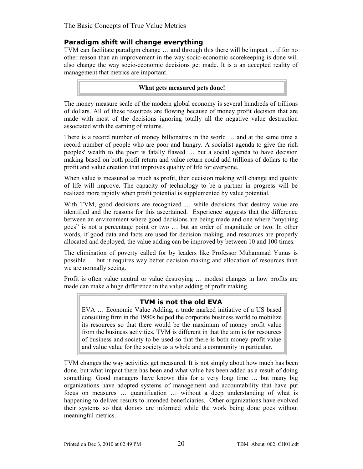#### **Paradigm shift will change everything**

TVM can facilitate paradigm change … and through this there will be impact ... if for no other reason than an improvement in the way socio-economic scorekeeping is done will also change the way socio-economic decisions get made. It is a an accepted reality of management that metrics are important.

#### **What gets measured gets done!**

The money measure scale of the modern global economy is several hundreds of trillions of dollars. All of these resources are flowing because of money profit decision that are made with most of the decisions ignoring totally all the negative value destruction associated with the earning of returns.

There is a record number of money billionaires in the world … and at the same time a record number of people who are poor and hungry. A socialist agenda to give the rich peoples' wealth to the poor is fatally flawed … but a social agenda to have decision making based on both profit return and value return could add trillions of dollars to the profit and value creation that improves quality of life for everyone.

When value is measured as much as profit, then decision making will change and quality of life will improve. The capacity of technology to be a partner in progress will be realized more rapidly when profit potential is supplemented by value potential.

With TVM, good decisions are recognized ... while decisions that destroy value are identified and the reasons for this ascertained. Experience suggests that the difference between an environment where good decisions are being made and one where "anything goes" is not a percentage point or two … but an order of magnitude or two. In other words, if good data and facts are used for decision making, and resources are properly allocated and deployed, the value adding can be improved by between 10 and 100 times.

The elimination of poverty called for by leaders like Professor Muhammad Yunus is possible … but it requires way better decision making and allocation of resources than we are normally seeing.

Profit is often value neutral or value destroying … modest changes in how profits are made can make a huge difference in the value adding of profit making.

#### **TVM is not the old EVA**

EVA … Economic Value Adding, a trade marked initiative of a US based consulting firm in the 1980s helped the corporate business world to mobilize its resources so that there would be the maximum of money profit value from the business activities. TVM is different in that the aim is for resources of business and society to be used so that there is both money profit value and value value for the society as a whole and a community in particular.

TVM changes the way activities get measured. It is not simply about how much has been done, but what impact there has been and what value has been added as a result of doing something. Good managers have known this for a very long time … but many big organizations have adopted systems of management and accountability that have put focus on measures … quantification … without a deep understanding of what is happening to deliver results to intended beneficiaries. Other organizations have evolved their systems so that donors are informed while the work being done goes without meaningful metrics.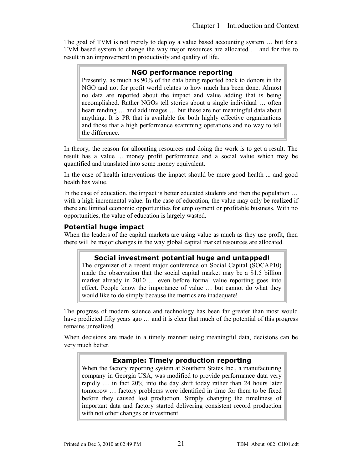The goal of TVM is not merely to deploy a value based accounting system … but for a TVM based system to change the way major resources are allocated … and for this to result in an improvement in productivity and quality of life.

#### **NGO performance reporting**

Presently, as much as 90% of the data being reported back to donors in the NGO and not for profit world relates to how much has been done. Almost no data are reported about the impact and value adding that is being accomplished. Rather NGOs tell stories about a single individual … often heart rending … and add images … but these are not meaningful data about anything. It is PR that is available for both highly effective organizations and those that a high performance scamming operations and no way to tell the difference.

In theory, the reason for allocating resources and doing the work is to get a result. The result has a value ... money profit performance and a social value which may be quantified and translated into some money equivalent.

In the case of health interventions the impact should be more good health ... and good health has value.

In the case of education, the impact is better educated students and then the population … with a high incremental value. In the case of education, the value may only be realized if there are limited economic opportunities for employment or profitable business. With no opportunities, the value of education is largely wasted.

#### **Potential huge impact**

When the leaders of the capital markets are using value as much as they use profit, then there will be major changes in the way global capital market resources are allocated.

#### **Social investment potential huge and untapped!**

The organizer of a recent major conference on Social Capital (SOCAP10) made the observation that the social capital market may be a \$1.5 billion market already in 2010 … even before formal value reporting goes into effect. People know the importance of value … but cannot do what they would like to do simply because the metrics are inadequate!

The progress of modern science and technology has been far greater than most would have predicted fifty years ago ... and it is clear that much of the potential of this progress remains unrealized.

When decisions are made in a timely manner using meaningful data, decisions can be very much better.

#### **Example: Timely production reporting**

When the factory reporting system at Southern States Inc., a manufacturing company in Georgia USA, was modified to provide performance data very rapidly … in fact 20% into the day shift today rather than 24 hours later tomorrow … factory problems were identified in time for them to be fixed before they caused lost production. Simply changing the timeliness of important data and factory started delivering consistent record production with not other changes or investment.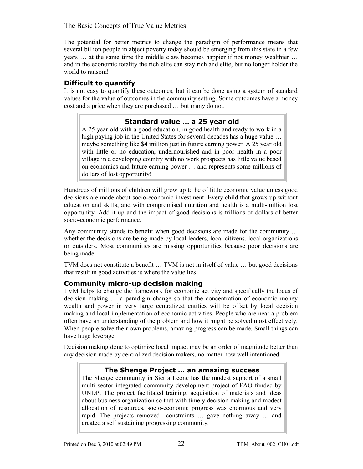The potential for better metrics to change the paradigm of performance means that several billion people in abject poverty today should be emerging from this state in a few years … at the same time the middle class becomes happier if not money wealthier … and in the economic totality the rich elite can stay rich and elite, but no longer holder the world to ransom!

#### **Difficult to quantify**

It is not easy to quantify these outcomes, but it can be done using a system of standard values for the value of outcomes in the community setting. Some outcomes have a money cost and a price when they are purchased … but many do not.

#### **Standard value … a 25 year old**

A 25 year old with a good education, in good health and ready to work in a high paying job in the United States for several decades has a huge value … maybe something like \$4 million just in future earning power. A 25 year old with little or no education, undernourished and in poor health in a poor village in a developing country with no work prospects has little value based on economics and future earning power … and represents some millions of dollars of lost opportunity!

Hundreds of millions of children will grow up to be of little economic value unless good decisions are made about socio-economic investment. Every child that grows up without education and skills, and with compromised nutrition and health is a multi-million lost opportunity. Add it up and the impact of good decisions is trillions of dollars of better socio-economic performance.

Any community stands to benefit when good decisions are made for the community … whether the decisions are being made by local leaders, local citizens, local organizations or outsiders. Most communities are missing opportunities because poor decisions are being made.

TVM does not constitute a benefit … TVM is not in itself of value … but good decisions that result in good activities is where the value lies!

#### **Community micro-up decision making**

TVM helps to change the framework for economic activity and specifically the locus of decision making … a paradigm change so that the concentration of economic money wealth and power in very large centralized entities will be offset by local decision making and local implementation of economic activities. People who are near a problem often have an understanding of the problem and how it might be solved most effectively. When people solve their own problems, amazing progress can be made. Small things can have huge leverage.

Decision making done to optimize local impact may be an order of magnitude better than any decision made by centralized decision makers, no matter how well intentioned.

#### **The Shenge Project … an amazing success**

The Shenge community in Sierra Leone has the modest support of a small multi-sector integrated community development project of FAO funded by UNDP. The project facilitated training, acquisition of materials and ideas about business organization so that with timely decision making and modest allocation of resources, socio-economic progress was enormous and very rapid. The projects removed constraints … gave nothing away … and created a self sustaining progressing community.